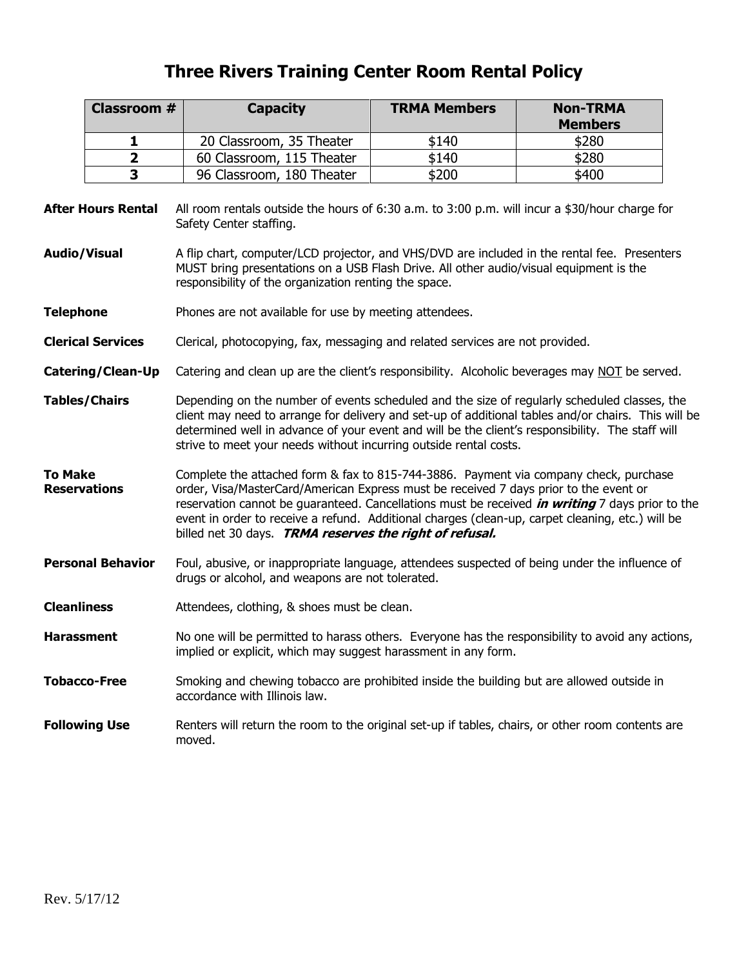## **Three Rivers Training Center Room Rental Policy**

|                           | <b>Classroom #</b>       | <b>Capacity</b>                                                                                                                                                                                                                                                                                                                                                              | <b>TRMA Members</b>                                                                                                                                                                                                                                                                                                                                                                                                                                     | <b>Non-TRMA</b><br><b>Members</b> |  |  |  |  |
|---------------------------|--------------------------|------------------------------------------------------------------------------------------------------------------------------------------------------------------------------------------------------------------------------------------------------------------------------------------------------------------------------------------------------------------------------|---------------------------------------------------------------------------------------------------------------------------------------------------------------------------------------------------------------------------------------------------------------------------------------------------------------------------------------------------------------------------------------------------------------------------------------------------------|-----------------------------------|--|--|--|--|
|                           | 1                        | 20 Classroom, 35 Theater                                                                                                                                                                                                                                                                                                                                                     | \$140                                                                                                                                                                                                                                                                                                                                                                                                                                                   | \$280                             |  |  |  |  |
|                           | $\overline{\mathbf{2}}$  | 60 Classroom, 115 Theater                                                                                                                                                                                                                                                                                                                                                    | \$140                                                                                                                                                                                                                                                                                                                                                                                                                                                   | \$280                             |  |  |  |  |
|                           | 3                        | 96 Classroom, 180 Theater                                                                                                                                                                                                                                                                                                                                                    | \$200                                                                                                                                                                                                                                                                                                                                                                                                                                                   | \$400                             |  |  |  |  |
| <b>After Hours Rental</b> |                          | All room rentals outside the hours of 6:30 a.m. to 3:00 p.m. will incur a \$30/hour charge for<br>Safety Center staffing.                                                                                                                                                                                                                                                    |                                                                                                                                                                                                                                                                                                                                                                                                                                                         |                                   |  |  |  |  |
| Audio/Visual              |                          | A flip chart, computer/LCD projector, and VHS/DVD are included in the rental fee. Presenters<br>MUST bring presentations on a USB Flash Drive. All other audio/visual equipment is the<br>responsibility of the organization renting the space.                                                                                                                              |                                                                                                                                                                                                                                                                                                                                                                                                                                                         |                                   |  |  |  |  |
| <b>Telephone</b>          |                          | Phones are not available for use by meeting attendees.                                                                                                                                                                                                                                                                                                                       |                                                                                                                                                                                                                                                                                                                                                                                                                                                         |                                   |  |  |  |  |
| <b>Clerical Services</b>  |                          | Clerical, photocopying, fax, messaging and related services are not provided.                                                                                                                                                                                                                                                                                                |                                                                                                                                                                                                                                                                                                                                                                                                                                                         |                                   |  |  |  |  |
| Catering/Clean-Up         |                          | Catering and clean up are the client's responsibility. Alcoholic beverages may NOT be served.                                                                                                                                                                                                                                                                                |                                                                                                                                                                                                                                                                                                                                                                                                                                                         |                                   |  |  |  |  |
| <b>Tables/Chairs</b>      |                          | Depending on the number of events scheduled and the size of regularly scheduled classes, the<br>client may need to arrange for delivery and set-up of additional tables and/or chairs. This will be<br>determined well in advance of your event and will be the client's responsibility. The staff will<br>strive to meet your needs without incurring outside rental costs. |                                                                                                                                                                                                                                                                                                                                                                                                                                                         |                                   |  |  |  |  |
| To Make                   | <b>Reservations</b>      |                                                                                                                                                                                                                                                                                                                                                                              | Complete the attached form & fax to 815-744-3886. Payment via company check, purchase<br>order, Visa/MasterCard/American Express must be received 7 days prior to the event or<br>reservation cannot be guaranteed. Cancellations must be received <i>in writing</i> 7 days prior to the<br>event in order to receive a refund. Additional charges (clean-up, carpet cleaning, etc.) will be<br>billed net 30 days. TRMA reserves the right of refusal. |                                   |  |  |  |  |
|                           | <b>Personal Behavior</b> | Foul, abusive, or inappropriate language, attendees suspected of being under the influence of<br>drugs or alcohol, and weapons are not tolerated.                                                                                                                                                                                                                            |                                                                                                                                                                                                                                                                                                                                                                                                                                                         |                                   |  |  |  |  |
| <b>Cleanliness</b>        |                          | Attendees, clothing, & shoes must be clean.                                                                                                                                                                                                                                                                                                                                  |                                                                                                                                                                                                                                                                                                                                                                                                                                                         |                                   |  |  |  |  |
| <b>Harassment</b>         |                          | No one will be permitted to harass others. Everyone has the responsibility to avoid any actions,<br>implied or explicit, which may suggest harassment in any form.                                                                                                                                                                                                           |                                                                                                                                                                                                                                                                                                                                                                                                                                                         |                                   |  |  |  |  |
|                           | <b>Tobacco-Free</b>      | Smoking and chewing tobacco are prohibited inside the building but are allowed outside in                                                                                                                                                                                                                                                                                    |                                                                                                                                                                                                                                                                                                                                                                                                                                                         |                                   |  |  |  |  |
|                           | <b>Following Use</b>     | Renters will return the room to the original set-up if tables, chairs, or other room contents are<br>moved.                                                                                                                                                                                                                                                                  |                                                                                                                                                                                                                                                                                                                                                                                                                                                         |                                   |  |  |  |  |